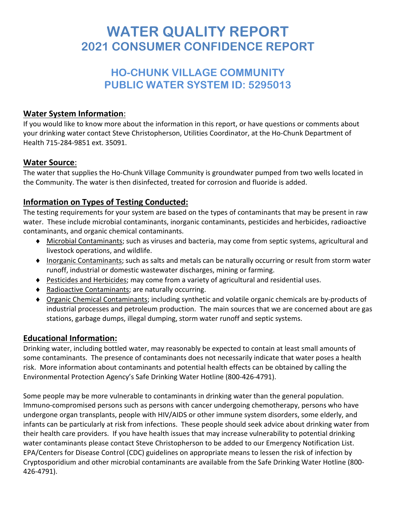# **WATER QUALITY REPORT 2021 CONSUMER CONFIDENCE REPORT**

## **HO-CHUNK VILLAGE COMMUNITY PUBLIC WATER SYSTEM ID: 5295013**

## **Water System Information**:

If you would like to know more about the information in this report, or have questions or comments about your drinking water contact Steve Christopherson, Utilities Coordinator, at the Ho-Chunk Department of Health 715-284-9851 ext. 35091.

## **Water Source**:

The water that supplies the Ho-Chunk Village Community is groundwater pumped from two wells located in the Community. The water is then disinfected, treated for corrosion and fluoride is added.

## **Information on Types of Testing Conducted:**

The testing requirements for your system are based on the types of contaminants that may be present in raw water. These include microbial contaminants, inorganic contaminants, pesticides and herbicides, radioactive contaminants, and organic chemical contaminants.

- ♦ Microbial Contaminants; such as viruses and bacteria, may come from septic systems, agricultural and livestock operations, and wildlife.
- ♦ Inorganic Contaminants; such as salts and metals can be naturally occurring or result from storm water runoff, industrial or domestic wastewater discharges, mining or farming.
- ♦ Pesticides and Herbicides; may come from a variety of agricultural and residential uses.
- ♦ Radioactive Contaminants; are naturally occurring.
- ♦ Organic Chemical Contaminants; including synthetic and volatile organic chemicals are by-products of industrial processes and petroleum production. The main sources that we are concerned about are gas stations, garbage dumps, illegal dumping, storm water runoff and septic systems.

## **Educational Information:**

Drinking water, including bottled water, may reasonably be expected to contain at least small amounts of some contaminants. The presence of contaminants does not necessarily indicate that water poses a health risk. More information about contaminants and potential health effects can be obtained by calling the Environmental Protection Agency's Safe Drinking Water Hotline (800-426-4791).

Some people may be more vulnerable to contaminants in drinking water than the general population. Immuno-compromised persons such as persons with cancer undergoing chemotherapy, persons who have undergone organ transplants, people with HIV/AIDS or other immune system disorders, some elderly, and infants can be particularly at risk from infections. These people should seek advice about drinking water from their health care providers. If you have health issues that may increase vulnerability to potential drinking water contaminants please contact Steve Christopherson to be added to our Emergency Notification List. EPA/Centers for Disease Control (CDC) guidelines on appropriate means to lessen the risk of infection by Cryptosporidium and other microbial contaminants are available from the Safe Drinking Water Hotline (800- 426-4791).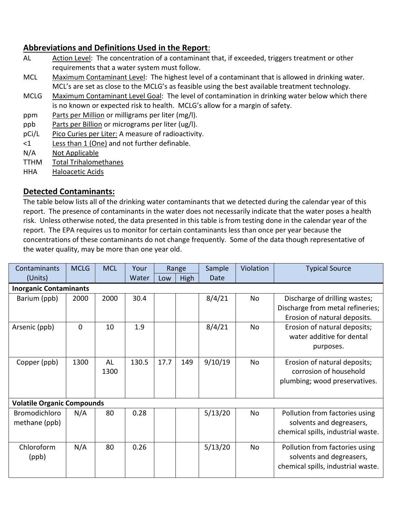## **Abbreviations and Definitions Used in the Report**:

- AL Action Level: The concentration of a contaminant that, if exceeded, triggers treatment or other requirements that a water system must follow.
- MCL Maximum Contaminant Level: The highest level of a contaminant that is allowed in drinking water. MCL's are set as close to the MCLG's as feasible using the best available treatment technology.
- MCLG Maximum Contaminant Level Goal: The level of contamination in drinking water below which there is no known or expected risk to health. MCLG's allow for a margin of safety.
- ppm Parts per Million or milligrams per liter (mg/l).
- ppb Parts per Billion or micrograms per liter (ug/l).
- pCi/L Pico Curies per Liter: A measure of radioactivity.
- <1 Less than 1 (One) and not further definable.
- N/A Not Applicable
- TTHM Total Trihalomethanes
- HHA Haloacetic Acids

#### **Detected Contaminants:**

The table below lists all of the drinking water contaminants that we detected during the calendar year of this report. The presence of contaminants in the water does not necessarily indicate that the water poses a health risk. Unless otherwise noted, the data presented in this table is from testing done in the calendar year of the report. The EPA requires us to monitor for certain contaminants less than once per year because the concentrations of these contaminants do not change frequently. Some of the data though representative of the water quality, may be more than one year old.

| Contaminants                      | <b>MCLG</b> | <b>MCL</b> | Your  | Range |      | Sample  | Violation | <b>Typical Source</b>                                                                             |  |  |  |  |  |
|-----------------------------------|-------------|------------|-------|-------|------|---------|-----------|---------------------------------------------------------------------------------------------------|--|--|--|--|--|
| (Units)                           |             |            | Water | Low   | High | Date    |           |                                                                                                   |  |  |  |  |  |
| <b>Inorganic Contaminants</b>     |             |            |       |       |      |         |           |                                                                                                   |  |  |  |  |  |
| Barium (ppb)                      | 2000        | 2000       | 30.4  |       |      | 8/4/21  | No        | Discharge of drilling wastes;<br>Discharge from metal refineries;<br>Erosion of natural deposits. |  |  |  |  |  |
| Arsenic (ppb)                     | $\mathbf 0$ | 10         | 1.9   |       |      | 8/4/21  | No        | Erosion of natural deposits;<br>water additive for dental<br>purposes.                            |  |  |  |  |  |
| Copper (ppb)                      | 1300        | AL<br>1300 | 130.5 | 17.7  | 149  | 9/10/19 | <b>No</b> | Erosion of natural deposits;<br>corrosion of household<br>plumbing; wood preservatives.           |  |  |  |  |  |
| <b>Volatile Organic Compounds</b> |             |            |       |       |      |         |           |                                                                                                   |  |  |  |  |  |
| Bromodichloro<br>methane (ppb)    | N/A         | 80         | 0.28  |       |      | 5/13/20 | No        | Pollution from factories using<br>solvents and degreasers,<br>chemical spills, industrial waste.  |  |  |  |  |  |
| Chloroform<br>(ppb)               | N/A         | 80         | 0.26  |       |      | 5/13/20 | <b>No</b> | Pollution from factories using<br>solvents and degreasers,<br>chemical spills, industrial waste.  |  |  |  |  |  |